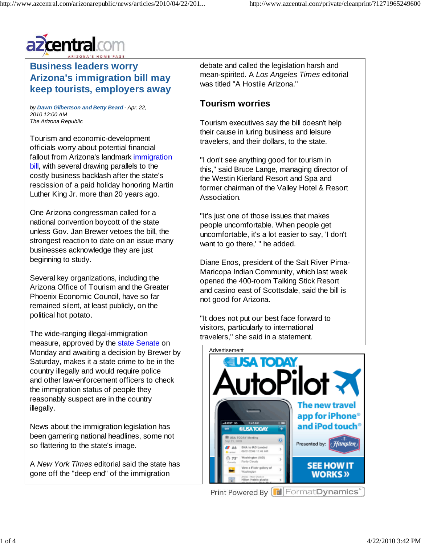

## **Business leaders worry Arizona's immigration bill may keep tourists, employers away**

*by Dawn Gilbertson and Betty Beard - Apr. 22, 2010 12:00 AM The Arizona Republic*

Tourism and economic-development officials worry about potential financial fallout from Arizona's landmark immigration bill, with several drawing parallels to the costly business backlash after the state's rescission of a paid holiday honoring Martin Luther King Jr. more than 20 years ago.

One Arizona congressman called for a national convention boycott of the state unless Gov. Jan Brewer vetoes the bill, the strongest reaction to date on an issue many businesses acknowledge they are just beginning to study.

Several key organizations, including the Arizona Office of Tourism and the Greater Phoenix Economic Council, have so far remained silent, at least publicly, on the political hot potato.

The wide-ranging illegal-immigration measure, approved by the state Senate on Monday and awaiting a decision by Brewer by Saturday, makes it a state crime to be in the country illegally and would require police and other law-enforcement officers to check the immigration status of people they reasonably suspect are in the country illegally.

News about the immigration legislation has been garnering national headlines, some not so flattering to the state's image.

A *New York Times* editorial said the state has gone off the "deep end" of the immigration

debate and called the legislation harsh and mean-spirited. A *Los Angeles Times* editorial was titled "A Hostile Arizona."

### **Tourism worries**

Tourism executives say the bill doesn't help their cause in luring business and leisure travelers, and their dollars, to the state.

"I don't see anything good for tourism in this," said Bruce Lange, managing director of the Westin Kierland Resort and Spa and former chairman of the Valley Hotel & Resort Association.

"It's just one of those issues that makes people uncomfortable. When people get uncomfortable, it's a lot easier to say, 'I don't want to go there,' " he added.

Diane Enos, president of the Salt River Pima-Maricopa Indian Community, which last week opened the 400-room Talking Stick Resort and casino east of Scottsdale, said the bill is not good for Arizona.

"It does not put our best face forward to visitors, particularly to international travelers," she said in a statement.

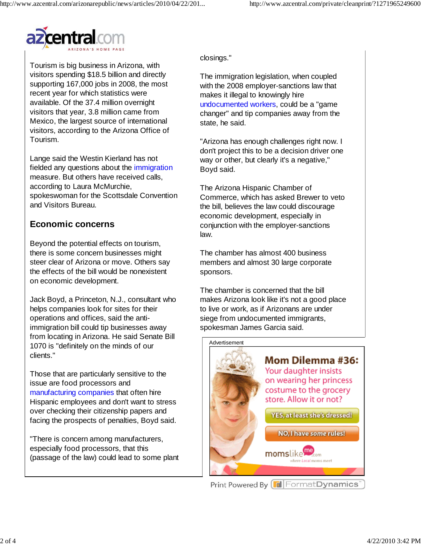

Tourism is big business in Arizona, with visitors spending \$18.5 billion and directly supporting 167,000 jobs in 2008, the most recent year for which statistics were available. Of the 37.4 million overnight visitors that year, 3.8 million came from Mexico, the largest source of international visitors, according to the Arizona Office of Tourism.

Lange said the Westin Kierland has not fielded any questions about the immigration measure. But others have received calls, according to Laura McMurchie, spokeswoman for the Scottsdale Convention and Visitors Bureau.

## **Economic concerns**

Beyond the potential effects on tourism, there is some concern businesses might steer clear of Arizona or move. Others say the effects of the bill would be nonexistent on economic development.

Jack Boyd, a Princeton, N.J., consultant who helps companies look for sites for their operations and offices, said the antiimmigration bill could tip businesses away from locating in Arizona. He said Senate Bill 1070 is "definitely on the minds of our clients."

Those that are particularly sensitive to the issue are food processors and manufacturing companies that often hire Hispanic employees and don't want to stress over checking their citizenship papers and facing the prospects of penalties, Boyd said.

"There is concern among manufacturers, especially food processors, that this (passage of the law) could lead to some plant closings."

The immigration legislation, when coupled with the 2008 employer-sanctions law that makes it illegal to knowingly hire undocumented workers, could be a "game changer" and tip companies away from the state, he said.

"Arizona has enough challenges right now. I don't project this to be a decision driver one way or other, but clearly it's a negative," Boyd said.

The Arizona Hispanic Chamber of Commerce, which has asked Brewer to veto the bill, believes the law could discourage economic development, especially in conjunction with the employer-sanctions law.

The chamber has almost 400 business members and almost 30 large corporate sponsors.

The chamber is concerned that the bill makes Arizona look like it's not a good place to live or work, as if Arizonans are under siege from undocumented immigrants, spokesman James Garcia said.

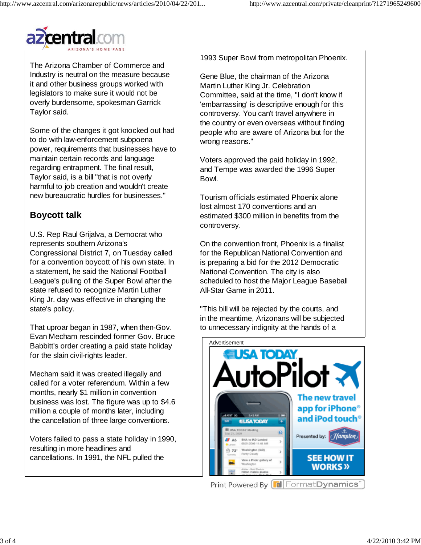

The Arizona Chamber of Commerce and Industry is neutral on the measure because it and other business groups worked with legislators to make sure it would not be overly burdensome, spokesman Garrick Taylor said.

Some of the changes it got knocked out had to do with law-enforcement subpoena power, requirements that businesses have to maintain certain records and language regarding entrapment. The final result, Taylor said, is a bill "that is not overly harmful to job creation and wouldn't create new bureaucratic hurdles for businesses."

# **Boycott talk**

U.S. Rep Raul Grijalva, a Democrat who represents southern Arizona's Congressional District 7, on Tuesday called for a convention boycott of his own state. In a statement, he said the National Football League's pulling of the Super Bowl after the state refused to recognize Martin Luther King Jr. day was effective in changing the state's policy.

That uproar began in 1987, when then-Gov. Evan Mecham rescinded former Gov. Bruce Babbitt's order creating a paid state holiday for the slain civil-rights leader.

Mecham said it was created illegally and called for a voter referendum. Within a few months, nearly \$1 million in convention business was lost. The figure was up to \$4.6 million a couple of months later, including the cancellation of three large conventions.

Voters failed to pass a state holiday in 1990, resulting in more headlines and cancellations. In 1991, the NFL pulled the

1993 Super Bowl from metropolitan Phoenix.

Gene Blue, the chairman of the Arizona Martin Luther King Jr. Celebration Committee, said at the time, "I don't know if 'embarrassing' is descriptive enough for this controversy. You can't travel anywhere in the country or even overseas without finding people who are aware of Arizona but for the wrong reasons."

Voters approved the paid holiday in 1992, and Tempe was awarded the 1996 Super Bowl.

Tourism officials estimated Phoenix alone lost almost 170 conventions and an estimated \$300 million in benefits from the controversy.

On the convention front, Phoenix is a finalist for the Republican National Convention and is preparing a bid for the 2012 Democratic National Convention. The city is also scheduled to host the Major League Baseball All-Star Game in 2011.

"This bill will be rejected by the courts, and in the meantime, Arizonans will be subjected to unnecessary indignity at the hands of a